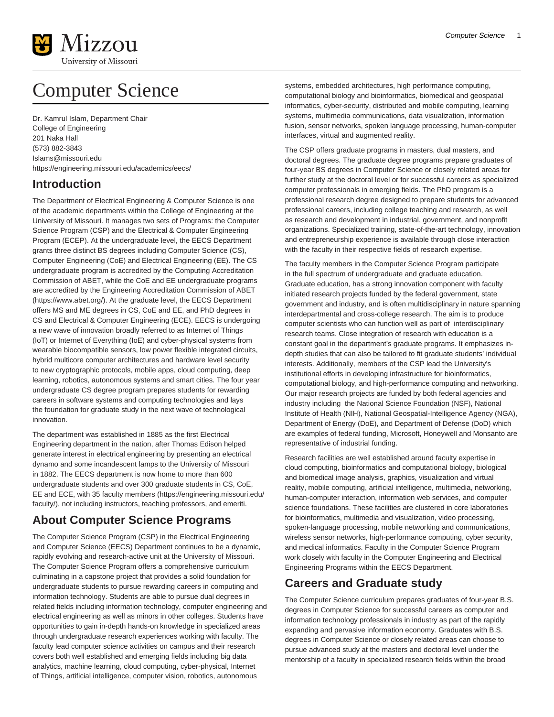

# Computer Science

Dr. Kamrul Islam, Department Chair College of Engineering 201 Naka Hall (573) 882-3843 [Islams@missouri.edu](mailto:Islams@missouri.edu) <https://engineering.missouri.edu/academics/eecs/>

## **Introduction**

The Department of Electrical Engineering & Computer Science is one of the academic departments within the College of Engineering at the University of Missouri. It manages two sets of Programs: the Computer Science Program (CSP) and the Electrical & Computer Engineering Program (ECEP). At the undergraduate level, the EECS Department grants three distinct BS degrees including Computer Science (CS), Computer Engineering (CoE) and Electrical Engineering (EE). The CS undergraduate program is accredited by the Computing Accreditation Commission of ABET, while the CoE and EE undergraduate programs are accredited by the [Engineering Accreditation Commission of ABET](https://www.abet.org/) ([https://www.abet.org/\)](https://www.abet.org/). At the graduate level, the EECS Department offers MS and ME degrees in CS, CoE and EE, and PhD degrees in CS and Electrical & Computer Engineering (ECE). EECS is undergoing a new wave of innovation broadly referred to as Internet of Things (IoT) or Internet of Everything (IoE) and cyber-physical systems from wearable biocompatible sensors, low power flexible integrated circuits, hybrid multicore computer architectures and hardware level security to new cryptographic protocols, mobile apps, cloud computing, deep learning, robotics, autonomous systems and smart cities. The four year undergraduate CS degree program prepares students for rewarding careers in software systems and computing technologies and lays the foundation for graduate study in the next wave of technological innovation.

The department was established in 1885 as the first Electrical Engineering department in the nation, after Thomas Edison helped generate interest in electrical engineering by presenting an electrical dynamo and some incandescent lamps to the University of Missouri in 1882. The EECS department is now home to more than 600 undergraduate students and over 300 graduate students in CS, CoE, EE and ECE, with [35 faculty members \(https://engineering.missouri.edu/](https://engineering.missouri.edu/faculty/) [faculty/](https://engineering.missouri.edu/faculty/)), not including instructors, teaching professors, and emeriti.

## **About Computer Science Programs**

The Computer Science Program (CSP) in the Electrical Engineering and Computer Science (EECS) Department continues to be a dynamic, rapidly evolving and research-active unit at the University of Missouri. The Computer Science Program offers a comprehensive curriculum culminating in a capstone project that provides a solid foundation for undergraduate students to pursue rewarding careers in computing and information technology. Students are able to pursue dual degrees in related fields including information technology, computer engineering and electrical engineering as well as minors in other colleges. Students have opportunities to gain in-depth hands-on knowledge in specialized areas through undergraduate research experiences working with faculty. The faculty lead computer science activities on campus and their research covers both well established and emerging fields including big data analytics, machine learning, cloud computing, cyber-physical, Internet of Things, artificial intelligence, computer vision, robotics, autonomous

systems, embedded architectures, high performance computing, computational biology and bioinformatics, biomedical and geospatial informatics, cyber-security, distributed and mobile computing, learning systems, multimedia communications, data visualization, information fusion, sensor networks, spoken language processing, human-computer interfaces, virtual and augmented reality.

The CSP offers graduate programs in masters, dual masters, and doctoral degrees. The graduate degree programs prepare graduates of four-year BS degrees in Computer Science or closely related areas for further study at the doctoral level or for successful careers as specialized computer professionals in emerging fields. The PhD program is a professional research degree designed to prepare students for advanced professional careers, including college teaching and research, as well as research and development in industrial, government, and nonprofit organizations. Specialized training, state-of-the-art technology, innovation and entrepreneurship experience is available through close interaction with the faculty in their respective fields of research expertise.

The faculty members in the Computer Science Program participate in the full spectrum of undergraduate and graduate education. Graduate education, has a strong innovation component with faculty initiated research projects funded by the federal government, state government and industry, and is often multidisciplinary in nature spanning interdepartmental and cross-college research. The aim is to produce computer scientists who can function well as part of interdisciplinary research teams. Close integration of research with education is a constant goal in the department's graduate programs. It emphasizes indepth studies that can also be tailored to fit graduate students' individual interests. Additionally, members of the CSP lead the University's institutional efforts in developing infrastructure for bioinformatics, computational biology, and high-performance computing and networking. Our major research projects are funded by both federal agencies and industry including the National Science Foundation (NSF), National Institute of Health (NIH), National Geospatial-Intelligence Agency (NGA), Department of Energy (DoE), and Department of Defense (DoD) which are examples of federal funding, Microsoft, Honeywell and Monsanto are representative of industrial funding.

Research facilities are well established around faculty expertise in cloud computing, bioinformatics and computational biology, biological and biomedical image analysis, graphics, visualization and virtual reality, mobile computing, artificial intelligence, multimedia, networking, human-computer interaction, information web services, and computer science foundations. These facilities are clustered in core laboratories for bioinformatics, multimedia and visualization, video processing, spoken-language processing, mobile networking and communications, wireless sensor networks, high-performance computing, cyber security, and medical informatics. Faculty in the Computer Science Program work closely with faculty in the Computer Engineering and Electrical Engineering Programs within the EECS Department.

### **Careers and Graduate study**

The Computer Science curriculum prepares graduates of four-year B.S. degrees in Computer Science for successful careers as computer and information technology professionals in industry as part of the rapidly expanding and pervasive information economy. Graduates with B.S. degrees in Computer Science or closely related areas can choose to pursue advanced study at the masters and doctoral level under the mentorship of a faculty in specialized research fields within the broad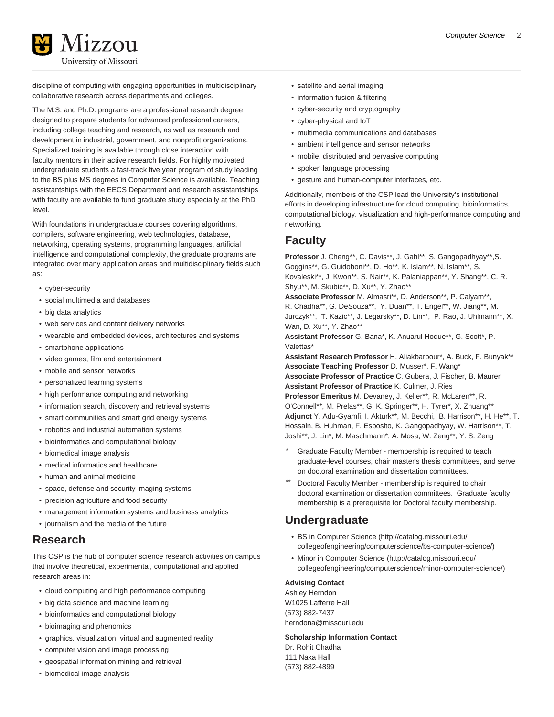

discipline of computing with engaging opportunities in multidisciplinary collaborative research across departments and colleges.

The M.S. and Ph.D. programs are a professional research degree designed to prepare students for advanced professional careers, including college teaching and research, as well as research and development in industrial, government, and nonprofit organizations. Specialized training is available through close interaction with faculty mentors in their active research fields. For highly motivated undergraduate students a fast-track five year program of study leading to the BS plus MS degrees in Computer Science is available. Teaching assistantships with the EECS Department and research assistantships with faculty are available to fund graduate study especially at the PhD level.

With foundations in undergraduate courses covering algorithms, compilers, software engineering, web technologies, database, networking, operating systems, programming languages, artificial intelligence and computational complexity, the graduate programs are integrated over many application areas and multidisciplinary fields such as:

- cyber-security
- social multimedia and databases
- big data analytics
- web services and content delivery networks
- wearable and embedded devices, architectures and systems
- smartphone applications
- video games, film and entertainment
- mobile and sensor networks
- personalized learning systems
- high performance computing and networking
- information search, discovery and retrieval systems
- smart communities and smart grid energy systems
- robotics and industrial automation systems
- bioinformatics and computational biology
- biomedical image analysis
- medical informatics and healthcare
- human and animal medicine
- space, defense and security imaging systems
- precision agriculture and food security
- management information systems and business analytics
- journalism and the media of the future

### **Research**

This CSP is the hub of computer science research activities on campus that involve theoretical, experimental, computational and applied research areas in:

- cloud computing and high performance computing
- big data science and machine learning
- bioinformatics and computational biology
- bioimaging and phenomics
- graphics, visualization, virtual and augmented reality
- computer vision and image processing
- geospatial information mining and retrieval
- biomedical image analysis
- satellite and aerial imaging
- information fusion & filtering
- cyber-security and cryptography
- cyber-physical and IoT
- multimedia communications and databases
- ambient intelligence and sensor networks
- mobile, distributed and pervasive computing
- spoken language processing
- gesture and human-computer interfaces, etc.

Additionally, members of the CSP lead the University's institutional efforts in developing infrastructure for cloud computing, bioinformatics, computational biology, visualization and high-performance computing and networking.

### **Faculty**

**Professor** J. Cheng\*\*, C. Davis\*\*, J. Gahl\*\*, S. Gangopadhyay\*\*,S. Goggins\*\*, G. Guidoboni\*\*, D. Ho\*\*, K. Islam\*\*, N. Islam\*\*, S. Kovaleski\*\*, J. Kwon\*\*, S. Nair\*\*, K. Palaniappan\*\*, Y. Shang\*\*, C. R. Shyu\*\*, M. Skubic\*\*, D. Xu\*\*, Y. Zhao\*\*

**Associate Professor** M. Almasri\*\*, D. Anderson\*\*, P. Calyam\*\*, R. Chadha\*\*, G. DeSouza\*\*, Y. Duan\*\*, T. Engel\*\*, W. Jiang\*\*, M. Jurczyk\*\*, T. Kazic\*\*, J. Legarsky\*\*, D. Lin\*\*, P. Rao, J. Uhlmann\*\*, X. Wan, D. Xu\*\*, Y. Zhao\*\*

**Assistant Professor** G. Bana\*, K. Anuarul Hoque\*\*, G. Scott\*, P. Valettas\*

**Assistant Research Professor** H. Aliakbarpour\*, A. Buck, F. Bunyak\*\* **Associate Teaching Professor** D. Musser\*, F. Wang\*

**Associate Professor of Practice** C. Gubera, J. Fischer, B. Maurer **Assistant Professor of Practice** K. Culmer, J. Ries

**Professor Emeritus** M. Devaney, J. Keller\*\*, R. McLaren\*\*, R. O'Connell\*\*, M. Prelas\*\*, G. K. Springer\*\*, H. Tyrer\*, X. Zhuang\*\* **Adjunct** Y. Adu-Gyamfi, I. Akturk\*\*, M. Becchi, B. Harrison\*\*, H. He\*\*, T. Hossain, B. Huhman, F. Esposito, K. Gangopadhyay, W. Harrison\*\*, T. Joshi\*\*, J. Lin\*, M. Maschmann\*, A. Mosa, W. Zeng\*\*, Y. S. Zeng

- Graduate Faculty Member membership is required to teach graduate-level courses, chair master's thesis committees, and serve on doctoral examination and dissertation committees.
- Doctoral Faculty Member membership is required to chair doctoral examination or dissertation committees. Graduate faculty membership is a prerequisite for Doctoral faculty membership.

### **Undergraduate**

- [BS in Computer Science](http://catalog.missouri.edu/collegeofengineering/computerscience/bs-computer-science/) [\(http://catalog.missouri.edu/](http://catalog.missouri.edu/collegeofengineering/computerscience/bs-computer-science/) [collegeofengineering/computerscience/bs-computer-science/](http://catalog.missouri.edu/collegeofengineering/computerscience/bs-computer-science/))
- [Minor in Computer Science](http://catalog.missouri.edu/collegeofengineering/computerscience/minor-computer-science/) [\(http://catalog.missouri.edu/](http://catalog.missouri.edu/collegeofengineering/computerscience/minor-computer-science/) [collegeofengineering/computerscience/minor-computer-science/\)](http://catalog.missouri.edu/collegeofengineering/computerscience/minor-computer-science/)

### **Advising Contact**

Ashley Herndon W1025 Lafferre Hall (573) 882-7437 [herndona@missouri.edu](mailto:herndona@missouri.edu)

#### **Scholarship Information Contact**

Dr. Rohit Chadha 111 Naka Hall (573) 882-4899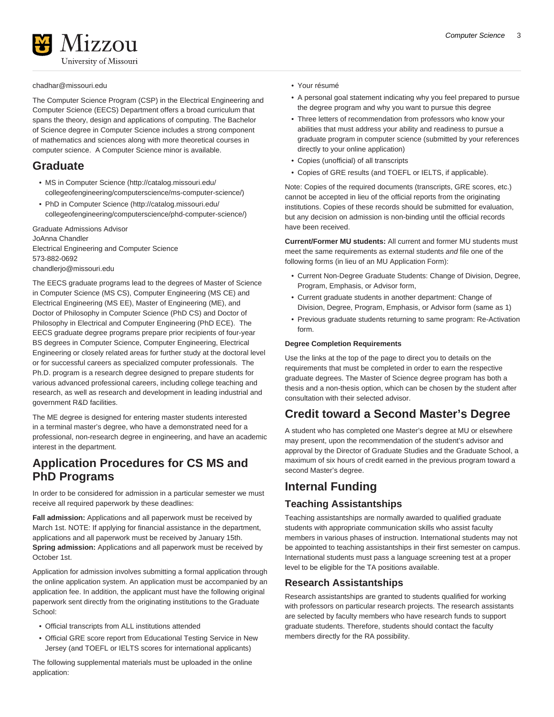#### [chadhar@missouri.edu](mailto:chadhar@missouri.edu)

The Computer Science Program (CSP) in the Electrical Engineering and Computer Science (EECS) Department offers a broad curriculum that spans the theory, design and applications of computing. The Bachelor of Science degree in Computer Science includes a strong component of mathematics and sciences along with more theoretical courses in computer science. A Computer Science minor is available.

### **Graduate**

- [MS in Computer Science](http://catalog.missouri.edu/collegeofengineering/computerscience/ms-computer-science/) [\(http://catalog.missouri.edu/](http://catalog.missouri.edu/collegeofengineering/computerscience/ms-computer-science/) [collegeofengineering/computerscience/ms-computer-science/](http://catalog.missouri.edu/collegeofengineering/computerscience/ms-computer-science/))
- [PhD in Computer Science](http://catalog.missouri.edu/collegeofengineering/computerscience/phd-computer-science/) ([http://catalog.missouri.edu/](http://catalog.missouri.edu/collegeofengineering/computerscience/phd-computer-science/) [collegeofengineering/computerscience/phd-computer-science/](http://catalog.missouri.edu/collegeofengineering/computerscience/phd-computer-science/))

Graduate Admissions Advisor JoAnna Chandler Electrical Engineering and Computer Science 573-882-0692 [chandlerjo@missouri.edu](mailto:chandlerjo@missouri.edu)

The EECS graduate programs lead to the degrees of Master of Science in Computer Science (MS CS), Computer Engineering (MS CE) and Electrical Engineering (MS EE), Master of Engineering (ME), and Doctor of Philosophy in Computer Science (PhD CS) and Doctor of Philosophy in Electrical and Computer Engineering (PhD ECE). The EECS graduate degree programs prepare prior recipients of four-year BS degrees in Computer Science, Computer Engineering, Electrical Engineering or closely related areas for further study at the doctoral level or for successful careers as specialized computer professionals. The Ph.D. program is a research degree designed to prepare students for various advanced professional careers, including college teaching and research, as well as research and development in leading industrial and government R&D facilities.

The ME degree is designed for entering master students interested in a terminal master's degree, who have a demonstrated need for a professional, non-research degree in engineering, and have an academic interest in the department.

### **Application Procedures for CS MS and PhD Programs**

In order to be considered for admission in a particular semester we must receive all required paperwork by these deadlines:

**Fall admission:** Applications and all paperwork must be received by March 1st. NOTE: If applying for financial assistance in the department, applications and all paperwork must be received by January 15th. **Spring admission:** Applications and all paperwork must be received by October 1st.

Application for admission involves submitting a formal application through the online application system. An application must be accompanied by an application fee. In addition, the applicant must have the following original paperwork sent directly from the originating institutions to the Graduate School:

- Official transcripts from ALL institutions attended
- Official GRE score report from Educational Testing Service in New Jersey (and TOEFL or IELTS scores for international applicants)

The following supplemental materials must be uploaded in the online application:

- Your résumé
- A personal goal statement indicating why you feel prepared to pursue the degree program and why you want to pursue this degree
- Three letters of recommendation from professors who know your abilities that must address your ability and readiness to pursue a graduate program in computer science (submitted by your references directly to your online application)
- Copies (unofficial) of all transcripts
- Copies of GRE results (and TOEFL or IELTS, if applicable).

Note: Copies of the required documents (transcripts, GRE scores, etc.) cannot be accepted in lieu of the official reports from the originating institutions. Copies of these records should be submitted for evaluation, but any decision on admission is non-binding until the official records have been received.

**Current/Former MU students:** All current and former MU students must meet the same requirements as external students and file one of the following forms (in lieu of an MU Application Form):

- Current Non-Degree Graduate Students: Change of Division, Degree, Program, Emphasis, or Advisor form,
- Current graduate students in another department: Change of Division, Degree, Program, Emphasis, or Advisor form (same as 1)
- Previous graduate students returning to same program: Re-Activation form.

#### **Degree Completion Requirements**

Use the links at the top of the page to direct you to details on the requirements that must be completed in order to earn the respective graduate degrees. The Master of Science degree program has both a thesis and a non-thesis option, which can be chosen by the student after consultation with their selected advisor.

### **Credit toward a Second Master's Degree**

A student who has completed one Master's degree at MU or elsewhere may present, upon the recommendation of the student's advisor and approval by the Director of Graduate Studies and the Graduate School, a maximum of six hours of credit earned in the previous program toward a second Master's degree.

### **Internal Funding**

### **Teaching Assistantships**

Teaching assistantships are normally awarded to qualified graduate students with appropriate communication skills who assist faculty members in various phases of instruction. International students may not be appointed to teaching assistantships in their first semester on campus. International students must pass a language screening test at a proper level to be eligible for the TA positions available.

### **Research Assistantships**

Research assistantships are granted to students qualified for working with professors on particular research projects. The research assistants are selected by faculty members who have research funds to support graduate students. Therefore, students should contact the faculty members directly for the RA possibility.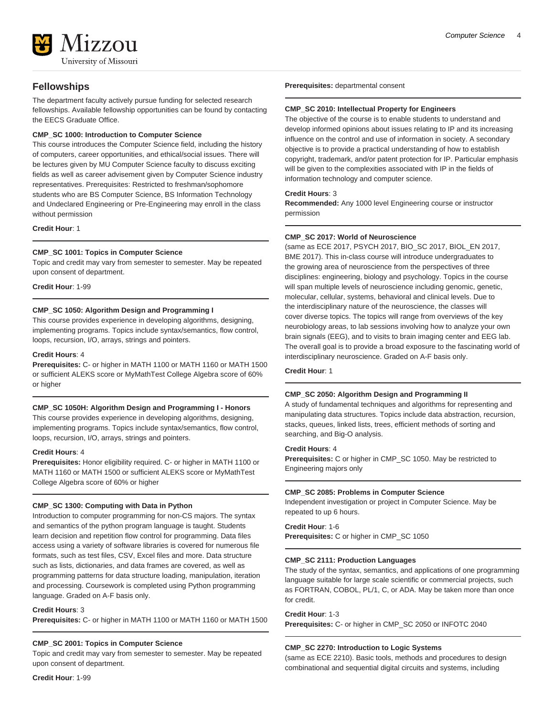

### **Fellowships**

The department faculty actively pursue funding for selected research fellowships. Available fellowship opportunities can be found by contacting the EECS Graduate Office.

#### **CMP\_SC 1000: Introduction to Computer Science**

This course introduces the Computer Science field, including the history of computers, career opportunities, and ethical/social issues. There will be lectures given by MU Computer Science faculty to discuss exciting fields as well as career advisement given by Computer Science industry representatives. Prerequisites: Restricted to freshman/sophomore students who are BS Computer Science, BS Information Technology and Undeclared Engineering or Pre-Engineering may enroll in the class without permission

**Credit Hour**: 1

#### **CMP\_SC 1001: Topics in Computer Science**

Topic and credit may vary from semester to semester. May be repeated upon consent of department.

**Credit Hour**: 1-99

#### **CMP\_SC 1050: Algorithm Design and Programming I**

This course provides experience in developing algorithms, designing, implementing programs. Topics include syntax/semantics, flow control, loops, recursion, I/O, arrays, strings and pointers.

#### **Credit Hours**: 4

**Prerequisites:** C- or higher in MATH 1100 or MATH 1160 or MATH 1500 or sufficient ALEKS score or MyMathTest College Algebra score of 60% or higher

#### **CMP\_SC 1050H: Algorithm Design and Programming I - Honors**

This course provides experience in developing algorithms, designing, implementing programs. Topics include syntax/semantics, flow control, loops, recursion, I/O, arrays, strings and pointers.

#### **Credit Hours**: 4

**Prerequisites:** Honor eligibility required. C- or higher in MATH 1100 or MATH 1160 or MATH 1500 or sufficient ALEKS score or MyMathTest College Algebra score of 60% or higher

#### **CMP\_SC 1300: Computing with Data in Python**

Introduction to computer programming for non-CS majors. The syntax and semantics of the python program language is taught. Students learn decision and repetition flow control for programming. Data files access using a variety of software libraries is covered for numerous file formats, such as test files, CSV, Excel files and more. Data structure such as lists, dictionaries, and data frames are covered, as well as programming patterns for data structure loading, manipulation, iteration and processing. Coursework is completed using Python programming language. Graded on A-F basis only.

#### **Credit Hours**: 3

**Prerequisites:** C- or higher in MATH 1100 or MATH 1160 or MATH 1500

#### **CMP\_SC 2001: Topics in Computer Science**

Topic and credit may vary from semester to semester. May be repeated upon consent of department.

**Prerequisites:** departmental consent

#### **CMP\_SC 2010: Intellectual Property for Engineers**

The objective of the course is to enable students to understand and develop informed opinions about issues relating to IP and its increasing influence on the control and use of information in society. A secondary objective is to provide a practical understanding of how to establish copyright, trademark, and/or patent protection for IP. Particular emphasis will be given to the complexities associated with IP in the fields of information technology and computer science.

#### **Credit Hours**: 3

**Recommended:** Any 1000 level Engineering course or instructor permission

#### **CMP\_SC 2017: World of Neuroscience**

(same as ECE 2017, PSYCH 2017, BIO\_SC 2017, BIOL\_EN 2017, BME 2017). This in-class course will introduce undergraduates to the growing area of neuroscience from the perspectives of three disciplines: engineering, biology and psychology. Topics in the course will span multiple levels of neuroscience including genomic, genetic, molecular, cellular, systems, behavioral and clinical levels. Due to the interdisciplinary nature of the neuroscience, the classes will cover diverse topics. The topics will range from overviews of the key neurobiology areas, to lab sessions involving how to analyze your own brain signals (EEG), and to visits to brain imaging center and EEG lab. The overall goal is to provide a broad exposure to the fascinating world of interdisciplinary neuroscience. Graded on A-F basis only.

**Credit Hour**: 1

#### **CMP\_SC 2050: Algorithm Design and Programming II**

A study of fundamental techniques and algorithms for representing and manipulating data structures. Topics include data abstraction, recursion, stacks, queues, linked lists, trees, efficient methods of sorting and searching, and Big-O analysis.

#### **Credit Hours**: 4

**Prerequisites:** C or higher in CMP\_SC 1050. May be restricted to Engineering majors only

#### **CMP\_SC 2085: Problems in Computer Science**

Independent investigation or project in Computer Science. May be repeated to up 6 hours.

**Credit Hour**: 1-6 **Prerequisites:** C or higher in CMP\_SC 1050

#### **CMP\_SC 2111: Production Languages**

The study of the syntax, semantics, and applications of one programming language suitable for large scale scientific or commercial projects, such as FORTRAN, COBOL, PL/1, C, or ADA. May be taken more than once for credit.

#### **Credit Hour**: 1-3

**Prerequisites:** C- or higher in CMP\_SC 2050 or INFOTC 2040

#### **CMP\_SC 2270: Introduction to Logic Systems**

(same as ECE 2210). Basic tools, methods and procedures to design combinational and sequential digital circuits and systems, including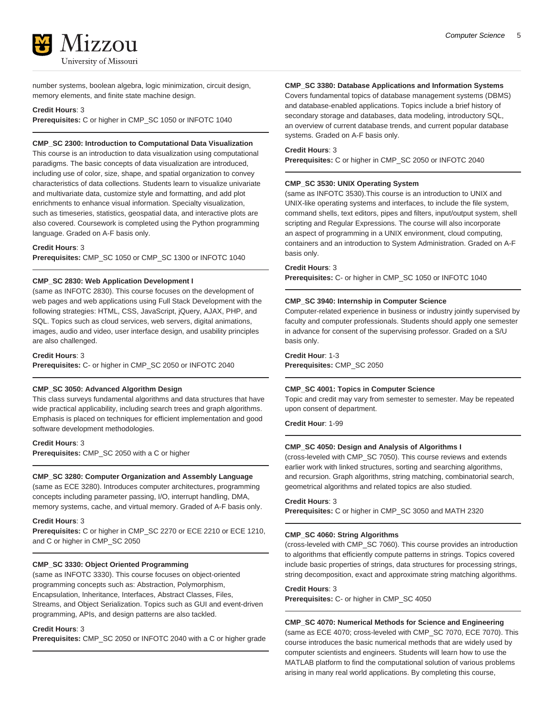

number systems, boolean algebra, logic minimization, circuit design, memory elements, and finite state machine design.

#### **Credit Hours**: 3

**Prerequisites:** C or higher in CMP\_SC 1050 or INFOTC 1040

#### **CMP\_SC 2300: Introduction to Computational Data Visualization**

This course is an introduction to data visualization using computational paradigms. The basic concepts of data visualization are introduced, including use of color, size, shape, and spatial organization to convey characteristics of data collections. Students learn to visualize univariate and multivariate data, customize style and formatting, and add plot enrichments to enhance visual information. Specialty visualization, such as timeseries, statistics, geospatial data, and interactive plots are also covered. Coursework is completed using the Python programming language. Graded on A-F basis only.

#### **Credit Hours**: 3

**Prerequisites:** CMP\_SC 1050 or CMP\_SC 1300 or INFOTC 1040

#### **CMP\_SC 2830: Web Application Development I**

(same as INFOTC 2830). This course focuses on the development of web pages and web applications using Full Stack Development with the following strategies: HTML, CSS, JavaScript, jQuery, AJAX, PHP, and SQL. Topics such as cloud services, web servers, digital animations, images, audio and video, user interface design, and usability principles are also challenged.

**Credit Hours**: 3

**Prerequisites:** C- or higher in CMP\_SC 2050 or INFOTC 2040

#### **CMP\_SC 3050: Advanced Algorithm Design**

This class surveys fundamental algorithms and data structures that have wide practical applicability, including search trees and graph algorithms. Emphasis is placed on techniques for efficient implementation and good software development methodologies.

**Credit Hours**: 3 **Prerequisites:** CMP\_SC 2050 with a C or higher

#### **CMP\_SC 3280: Computer Organization and Assembly Language**

(same as ECE 3280). Introduces computer architectures, programming concepts including parameter passing, I/O, interrupt handling, DMA, memory systems, cache, and virtual memory. Graded of A-F basis only.

#### **Credit Hours**: 3

**Prerequisites:** C or higher in CMP\_SC 2270 or ECE 2210 or ECE 1210, and C or higher in CMP\_SC 2050

#### **CMP\_SC 3330: Object Oriented Programming**

(same as INFOTC 3330). This course focuses on object-oriented programming concepts such as: Abstraction, Polymorphism, Encapsulation, Inheritance, Interfaces, Abstract Classes, Files, Streams, and Object Serialization. Topics such as GUI and event-driven programming, APIs, and design patterns are also tackled.

#### **Credit Hours**: 3

**Prerequisites:** CMP\_SC 2050 or INFOTC 2040 with a C or higher grade

### **CMP\_SC 3380: Database Applications and Information Systems**

Covers fundamental topics of database management systems (DBMS) and database-enabled applications. Topics include a brief history of secondary storage and databases, data modeling, introductory SQL, an overview of current database trends, and current popular database systems. Graded on A-F basis only.

#### **Credit Hours**: 3

**Prerequisites:** C or higher in CMP\_SC 2050 or INFOTC 2040

#### **CMP\_SC 3530: UNIX Operating System**

(same as INFOTC 3530).This course is an introduction to UNIX and UNIX-like operating systems and interfaces, to include the file system, command shells, text editors, pipes and filters, input/output system, shell scripting and Regular Expressions. The course will also incorporate an aspect of programming in a UNIX environment, cloud computing, containers and an introduction to System Administration. Graded on A-F basis only.

#### **Credit Hours**: 3

**Prerequisites:** C- or higher in CMP\_SC 1050 or INFOTC 1040

#### **CMP\_SC 3940: Internship in Computer Science**

Computer-related experience in business or industry jointly supervised by faculty and computer professionals. Students should apply one semester in advance for consent of the supervising professor. Graded on a S/U basis only.

**Credit Hour**: 1-3 **Prerequisites:** CMP\_SC 2050

#### **CMP\_SC 4001: Topics in Computer Science**

Topic and credit may vary from semester to semester. May be repeated upon consent of department.

**Credit Hour**: 1-99

### **CMP\_SC 4050: Design and Analysis of Algorithms I**

(cross-leveled with CMP\_SC 7050). This course reviews and extends earlier work with linked structures, sorting and searching algorithms, and recursion. Graph algorithms, string matching, combinatorial search, geometrical algorithms and related topics are also studied.

#### **Credit Hours**: 3

**Prerequisites:** C or higher in CMP\_SC 3050 and MATH 2320

#### **CMP\_SC 4060: String Algorithms**

(cross-leveled with CMP\_SC 7060). This course provides an introduction to algorithms that efficiently compute patterns in strings. Topics covered include basic properties of strings, data structures for processing strings, string decomposition, exact and approximate string matching algorithms.

#### **Credit Hours**: 3

**Prerequisites:** C- or higher in CMP\_SC 4050

#### **CMP\_SC 4070: Numerical Methods for Science and Engineering**

(same as ECE 4070; cross-leveled with CMP\_SC 7070, ECE 7070). This course introduces the basic numerical methods that are widely used by computer scientists and engineers. Students will learn how to use the MATLAB platform to find the computational solution of various problems arising in many real world applications. By completing this course,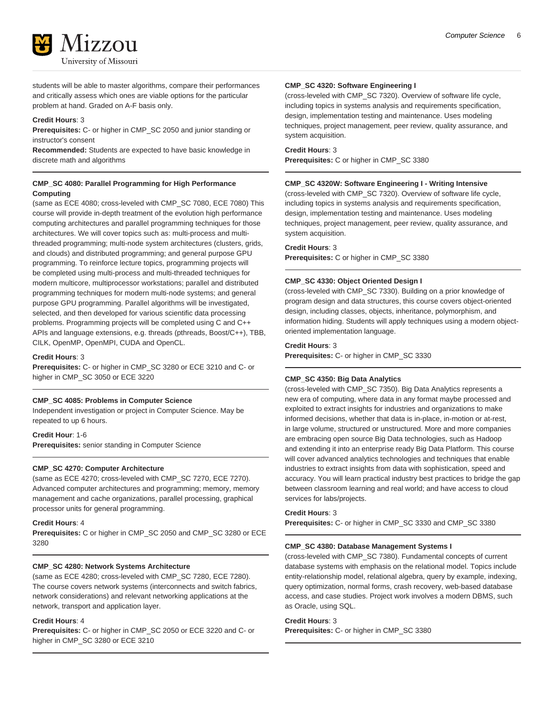

students will be able to master algorithms, compare their performances and critically assess which ones are viable options for the particular problem at hand. Graded on A-F basis only.

#### **Credit Hours**: 3

**Prerequisites:** C- or higher in CMP\_SC 2050 and junior standing or instructor's consent

**Recommended:** Students are expected to have basic knowledge in discrete math and algorithms

#### **CMP\_SC 4080: Parallel Programming for High Performance Computing**

(same as ECE 4080; cross-leveled with CMP\_SC 7080, ECE 7080) This course will provide in-depth treatment of the evolution high performance computing architectures and parallel programming techniques for those architectures. We will cover topics such as: multi-process and multithreaded programming; multi-node system architectures (clusters, grids, and clouds) and distributed programming; and general purpose GPU programming. To reinforce lecture topics, programming projects will be completed using multi-process and multi-threaded techniques for modern multicore, multiprocessor workstations; parallel and distributed programming techniques for modern multi-node systems; and general purpose GPU programming. Parallel algorithms will be investigated, selected, and then developed for various scientific data processing problems. Programming projects will be completed using C and C++ APIs and language extensions, e.g. threads (pthreads, Boost/C++), TBB, CILK, OpenMP, OpenMPI, CUDA and OpenCL.

**Credit Hours**: 3

**Prerequisites:** C- or higher in CMP\_SC 3280 or ECE 3210 and C- or higher in CMP\_SC 3050 or ECE 3220

#### **CMP\_SC 4085: Problems in Computer Science**

Independent investigation or project in Computer Science. May be repeated to up 6 hours.

**Credit Hour**: 1-6 **Prerequisites:** senior standing in Computer Science

#### **CMP\_SC 4270: Computer Architecture**

(same as ECE 4270; cross-leveled with CMP\_SC 7270, ECE 7270). Advanced computer architectures and programming; memory, memory management and cache organizations, parallel processing, graphical processor units for general programming.

#### **Credit Hours**: 4

**Prerequisites:** C or higher in CMP\_SC 2050 and CMP\_SC 3280 or ECE 3280

#### **CMP\_SC 4280: Network Systems Architecture**

(same as ECE 4280; cross-leveled with CMP\_SC 7280, ECE 7280). The course covers network systems (interconnects and switch fabrics, network considerations) and relevant networking applications at the network, transport and application layer.

#### **Credit Hours**: 4

**Prerequisites:** C- or higher in CMP\_SC 2050 or ECE 3220 and C- or higher in CMP\_SC 3280 or ECE 3210

#### **CMP\_SC 4320: Software Engineering I**

(cross-leveled with CMP\_SC 7320). Overview of software life cycle, including topics in systems analysis and requirements specification, design, implementation testing and maintenance. Uses modeling techniques, project management, peer review, quality assurance, and system acquisition.

#### **Credit Hours**: 3 **Prerequisites:** C or higher in CMP\_SC 3380

#### **CMP\_SC 4320W: Software Engineering I - Writing Intensive**

(cross-leveled with CMP\_SC 7320). Overview of software life cycle, including topics in systems analysis and requirements specification, design, implementation testing and maintenance. Uses modeling techniques, project management, peer review, quality assurance, and system acquisition.

#### **Credit Hours**: 3

**Prerequisites:** C or higher in CMP\_SC 3380

#### **CMP\_SC 4330: Object Oriented Design I**

(cross-leveled with CMP\_SC 7330). Building on a prior knowledge of program design and data structures, this course covers object-oriented design, including classes, objects, inheritance, polymorphism, and information hiding. Students will apply techniques using a modern objectoriented implementation language.

#### **Credit Hours**: 3

**Prerequisites:** C- or higher in CMP\_SC 3330

#### **CMP\_SC 4350: Big Data Analytics**

(cross-leveled with CMP\_SC 7350). Big Data Analytics represents a new era of computing, where data in any format maybe processed and exploited to extract insights for industries and organizations to make informed decisions, whether that data is in-place, in-motion or at-rest, in large volume, structured or unstructured. More and more companies are embracing open source Big Data technologies, such as Hadoop and extending it into an enterprise ready Big Data Platform. This course will cover advanced analytics technologies and techniques that enable industries to extract insights from data with sophistication, speed and accuracy. You will learn practical industry best practices to bridge the gap between classroom learning and real world; and have access to cloud services for labs/projects.

#### **Credit Hours**: 3

**Prerequisites:** C- or higher in CMP\_SC 3330 and CMP\_SC 3380

#### **CMP\_SC 4380: Database Management Systems I**

(cross-leveled with CMP\_SC 7380). Fundamental concepts of current database systems with emphasis on the relational model. Topics include entity-relationship model, relational algebra, query by example, indexing, query optimization, normal forms, crash recovery, web-based database access, and case studies. Project work involves a modern DBMS, such as Oracle, using SQL.

#### **Credit Hours**: 3

**Prerequisites:** C- or higher in CMP\_SC 3380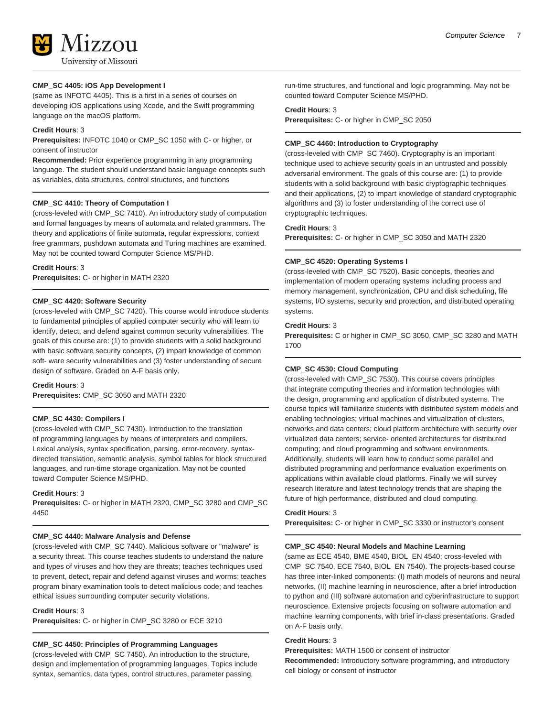

#### **CMP\_SC 4405: iOS App Development I**

(same as INFOTC 4405). This is a first in a series of courses on developing iOS applications using Xcode, and the Swift programming language on the macOS platform.

#### **Credit Hours**: 3

**Prerequisites:** INFOTC 1040 or CMP\_SC 1050 with C- or higher, or consent of instructor

**Recommended:** Prior experience programming in any programming language. The student should understand basic language concepts such as variables, data structures, control structures, and functions

#### **CMP\_SC 4410: Theory of Computation I**

(cross-leveled with CMP\_SC 7410). An introductory study of computation and formal languages by means of automata and related grammars. The theory and applications of finite automata, regular expressions, context free grammars, pushdown automata and Turing machines are examined. May not be counted toward Computer Science MS/PHD.

#### **Credit Hours**: 3

**Prerequisites:** C- or higher in MATH 2320

#### **CMP\_SC 4420: Software Security**

(cross-leveled with CMP\_SC 7420). This course would introduce students to fundamental principles of applied computer security who will learn to identify, detect, and defend against common security vulnerabilities. The goals of this course are: (1) to provide students with a solid background with basic software security concepts, (2) impart knowledge of common soft- ware security vulnerabilities and (3) foster understanding of secure design of software. Graded on A-F basis only.

#### **Credit Hours**: 3

**Prerequisites:** CMP\_SC 3050 and MATH 2320

#### **CMP\_SC 4430: Compilers I**

(cross-leveled with CMP\_SC 7430). Introduction to the translation of programming languages by means of interpreters and compilers. Lexical analysis, syntax specification, parsing, error-recovery, syntaxdirected translation, semantic analysis, symbol tables for block structured languages, and run-time storage organization. May not be counted toward Computer Science MS/PHD.

#### **Credit Hours**: 3

**Prerequisites:** C- or higher in MATH 2320, CMP\_SC 3280 and CMP\_SC 4450

#### **CMP\_SC 4440: Malware Analysis and Defense**

(cross-leveled with CMP\_SC 7440). Malicious software or "malware" is a security threat. This course teaches students to understand the nature and types of viruses and how they are threats; teaches techniques used to prevent, detect, repair and defend against viruses and worms; teaches program binary examination tools to detect malicious code; and teaches ethical issues surrounding computer security violations.

**Credit Hours**: 3

**Prerequisites:** C- or higher in CMP\_SC 3280 or ECE 3210

#### **CMP\_SC 4450: Principles of Programming Languages**

(cross-leveled with CMP\_SC 7450). An introduction to the structure, design and implementation of programming languages. Topics include syntax, semantics, data types, control structures, parameter passing,

run-time structures, and functional and logic programming. May not be counted toward Computer Science MS/PHD.

#### **Credit Hours**: 3

**Prerequisites:** C- or higher in CMP\_SC 2050

#### **CMP\_SC 4460: Introduction to Cryptography**

(cross-leveled with CMP\_SC 7460). Cryptography is an important technique used to achieve security goals in an untrusted and possibly adversarial environment. The goals of this course are: (1) to provide students with a solid background with basic cryptographic techniques and their applications, (2) to impart knowledge of standard cryptographic algorithms and (3) to foster understanding of the correct use of cryptographic techniques.

#### **Credit Hours**: 3

**Prerequisites:** C- or higher in CMP\_SC 3050 and MATH 2320

#### **CMP\_SC 4520: Operating Systems I**

(cross-leveled with CMP\_SC 7520). Basic concepts, theories and implementation of modern operating systems including process and memory management, synchronization, CPU and disk scheduling, file systems, I/O systems, security and protection, and distributed operating systems.

#### **Credit Hours**: 3

**Prerequisites:** C or higher in CMP\_SC 3050, CMP\_SC 3280 and MATH 1700

#### **CMP\_SC 4530: Cloud Computing**

(cross-leveled with CMP\_SC 7530). This course covers principles that integrate computing theories and information technologies with the design, programming and application of distributed systems. The course topics will familiarize students with distributed system models and enabling technologies; virtual machines and virtualization of clusters, networks and data centers; cloud platform architecture with security over virtualized data centers; service- oriented architectures for distributed computing; and cloud programming and software environments. Additionally, students will learn how to conduct some parallel and distributed programming and performance evaluation experiments on applications within available cloud platforms. Finally we will survey research literature and latest technology trends that are shaping the future of high performance, distributed and cloud computing.

#### **Credit Hours**: 3

**Prerequisites:** C- or higher in CMP\_SC 3330 or instructor's consent

#### **CMP\_SC 4540: Neural Models and Machine Learning**

(same as ECE 4540, BME 4540, BIOL\_EN 4540; cross-leveled with CMP\_SC 7540, ECE 7540, BIOL\_EN 7540). The projects-based course has three inter-linked components: (I) math models of neurons and neural networks, (II) machine learning in neuroscience, after a brief introduction to python and (III) software automation and cyberinfrastructure to support neuroscience. Extensive projects focusing on software automation and machine learning components, with brief in-class presentations. Graded on A-F basis only.

#### **Credit Hours**: 3

**Prerequisites:** MATH 1500 or consent of instructor

**Recommended:** Introductory software programming, and introductory cell biology or consent of instructor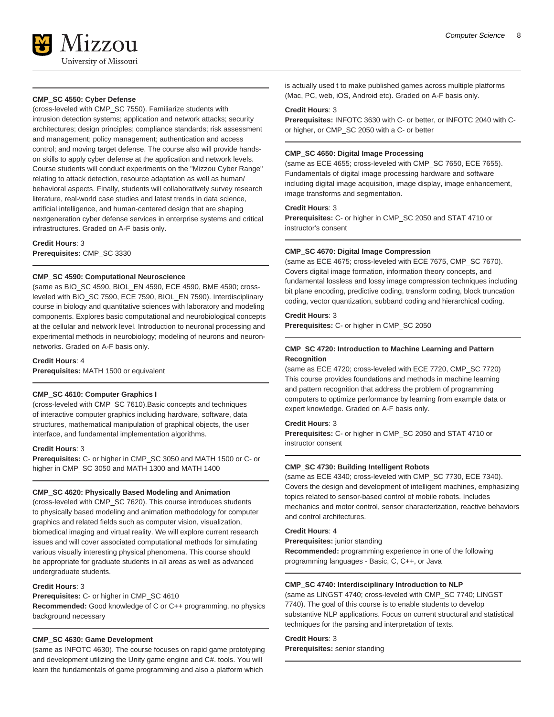

#### **CMP\_SC 4550: Cyber Defense**

(cross-leveled with CMP\_SC 7550). Familiarize students with intrusion detection systems; application and network attacks; security architectures; design principles; compliance standards; risk assessment and management; policy management; authentication and access control; and moving target defense. The course also will provide handson skills to apply cyber defense at the application and network levels. Course students will conduct experiments on the "Mizzou Cyber Range" relating to attack detection, resource adaptation as well as human/ behavioral aspects. Finally, students will collaboratively survey research literature, real-world case studies and latest trends in data science, artificial intelligence, and human-centered design that are shaping nextgeneration cyber defense services in enterprise systems and critical infrastructures. Graded on A-F basis only.

**Credit Hours**: 3 **Prerequisites:** CMP\_SC 3330

#### **CMP\_SC 4590: Computational Neuroscience**

(same as BIO\_SC 4590, BIOL\_EN 4590, ECE 4590, BME 4590; crossleveled with BIO\_SC 7590, ECE 7590, BIOL\_EN 7590). Interdisciplinary course in biology and quantitative sciences with laboratory and modeling components. Explores basic computational and neurobiological concepts at the cellular and network level. Introduction to neuronal processing and experimental methods in neurobiology; modeling of neurons and neuronnetworks. Graded on A-F basis only.

**Credit Hours**: 4

**Prerequisites:** MATH 1500 or equivalent

#### **CMP\_SC 4610: Computer Graphics I**

(cross-leveled with CMP\_SC 7610).Basic concepts and techniques of interactive computer graphics including hardware, software, data structures, mathematical manipulation of graphical objects, the user interface, and fundamental implementation algorithms.

#### **Credit Hours**: 3

**Prerequisites:** C- or higher in CMP\_SC 3050 and MATH 1500 or C- or higher in CMP\_SC 3050 and MATH 1300 and MATH 1400

#### **CMP\_SC 4620: Physically Based Modeling and Animation**

(cross-leveled with CMP\_SC 7620). This course introduces students to physically based modeling and animation methodology for computer graphics and related fields such as computer vision, visualization, biomedical imaging and virtual reality. We will explore current research issues and will cover associated computational methods for simulating various visually interesting physical phenomena. This course should be appropriate for graduate students in all areas as well as advanced undergraduate students.

#### **Credit Hours**: 3

#### **Prerequisites:** C- or higher in CMP\_SC 4610

**Recommended:** Good knowledge of C or C++ programming, no physics background necessary

#### **CMP\_SC 4630: Game Development**

(same as INFOTC 4630). The course focuses on rapid game prototyping and development utilizing the Unity game engine and C#. tools. You will learn the fundamentals of game programming and also a platform which

is actually used t to make published games across multiple platforms (Mac, PC, web, iOS, Android etc). Graded on A-F basis only.

#### **Credit Hours**: 3

**Prerequisites:** INFOTC 3630 with C- or better, or INFOTC 2040 with Cor higher, or CMP\_SC 2050 with a C- or better

#### **CMP\_SC 4650: Digital Image Processing**

(same as ECE 4655; cross-leveled with CMP\_SC 7650, ECE 7655). Fundamentals of digital image processing hardware and software including digital image acquisition, image display, image enhancement, image transforms and segmentation.

#### **Credit Hours**: 3

**Prerequisites:** C- or higher in CMP\_SC 2050 and STAT 4710 or instructor's consent

#### **CMP\_SC 4670: Digital Image Compression**

(same as ECE 4675; cross-leveled with ECE 7675, CMP\_SC 7670). Covers digital image formation, information theory concepts, and fundamental lossless and lossy image compression techniques including bit plane encoding, predictive coding, transform coding, block truncation coding, vector quantization, subband coding and hierarchical coding.

#### **Credit Hours**: 3

**Prerequisites:** C- or higher in CMP\_SC 2050

#### **CMP\_SC 4720: Introduction to Machine Learning and Pattern Recognition**

(same as ECE 4720; cross-leveled with ECE 7720, CMP\_SC 7720) This course provides foundations and methods in machine learning and pattern recognition that address the problem of programming computers to optimize performance by learning from example data or expert knowledge. Graded on A-F basis only.

#### **Credit Hours**: 3

**Prerequisites:** C- or higher in CMP\_SC 2050 and STAT 4710 or instructor consent

#### **CMP\_SC 4730: Building Intelligent Robots**

(same as ECE 4340; cross-leveled with CMP\_SC 7730, ECE 7340). Covers the design and development of intelligent machines, emphasizing topics related to sensor-based control of mobile robots. Includes mechanics and motor control, sensor characterization, reactive behaviors and control architectures.

#### **Credit Hours**: 4

**Prerequisites:** junior standing

**Recommended:** programming experience in one of the following programming languages - Basic, C, C++, or Java

#### **CMP\_SC 4740: Interdisciplinary Introduction to NLP**

(same as LINGST 4740; cross-leveled with CMP\_SC 7740; LINGST 7740). The goal of this course is to enable students to develop substantive NLP applications. Focus on current structural and statistical techniques for the parsing and interpretation of texts.

#### **Credit Hours**: 3

**Prerequisites:** senior standing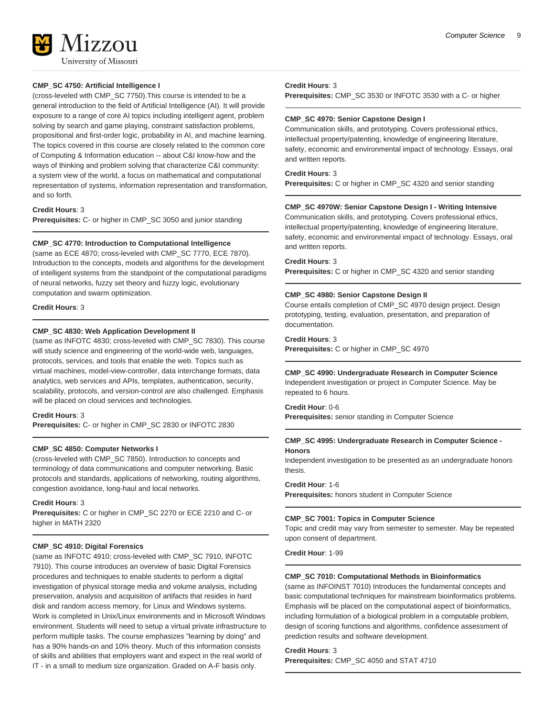

#### **CMP\_SC 4750: Artificial Intelligence I**

(cross-leveled with CMP\_SC 7750).This course is intended to be a general introduction to the field of Artificial Intelligence (AI). It will provide exposure to a range of core AI topics including intelligent agent, problem solving by search and game playing, constraint satisfaction problems, propositional and first-order logic, probability in AI, and machine learning. The topics covered in this course are closely related to the common core of Computing & Information education -- about C&I know-how and the ways of thinking and problem solving that characterize C&I community: a system view of the world, a focus on mathematical and computational representation of systems, information representation and transformation, and so forth.

#### **Credit Hours**: 3

**Prerequisites:** C- or higher in CMP\_SC 3050 and junior standing

#### **CMP\_SC 4770: Introduction to Computational Intelligence**

(same as ECE 4870; cross-leveled with CMP\_SC 7770, ECE 7870). Introduction to the concepts, models and algorithms for the development of intelligent systems from the standpoint of the computational paradigms of neural networks, fuzzy set theory and fuzzy logic, evolutionary computation and swarm optimization.

#### **Credit Hours**: 3

#### **CMP\_SC 4830: Web Application Development II**

(same as INFOTC 4830; cross-leveled with CMP\_SC 7830). This course will study science and engineering of the world-wide web, languages, protocols, services, and tools that enable the web. Topics such as virtual machines, model-view-controller, data interchange formats, data analytics, web services and APIs, templates, authentication, security, scalability, protocols, and version-control are also challenged. Emphasis will be placed on cloud services and technologies.

#### **Credit Hours**: 3

**Prerequisites:** C- or higher in CMP\_SC 2830 or INFOTC 2830

#### **CMP\_SC 4850: Computer Networks I**

(cross-leveled with CMP\_SC 7850). Introduction to concepts and terminology of data communications and computer networking. Basic protocols and standards, applications of networking, routing algorithms, congestion avoidance, long-haul and local networks.

#### **Credit Hours**: 3

**Prerequisites:** C or higher in CMP\_SC 2270 or ECE 2210 and C- or higher in MATH 2320

#### **CMP\_SC 4910: Digital Forensics**

(same as INFOTC 4910; cross-leveled with CMP\_SC 7910, INFOTC 7910). This course introduces an overview of basic Digital Forensics procedures and techniques to enable students to perform a digital investigation of physical storage media and volume analysis, including preservation, analysis and acquisition of artifacts that resides in hard disk and random access memory, for Linux and Windows systems. Work is completed in Unix/Linux environments and in Microsoft Windows environment. Students will need to setup a virtual private infrastructure to perform multiple tasks. The course emphasizes "learning by doing" and has a 90% hands-on and 10% theory. Much of this information consists of skills and abilities that employers want and expect in the real world of IT - in a small to medium size organization. Graded on A-F basis only.

#### **Credit Hours**: 3

**Prerequisites:** CMP\_SC 3530 or INFOTC 3530 with a C- or higher

#### **CMP\_SC 4970: Senior Capstone Design I**

Communication skills, and prototyping. Covers professional ethics, intellectual property/patenting, knowledge of engineering literature, safety, economic and environmental impact of technology. Essays, oral and written reports.

#### **Credit Hours**: 3

**Prerequisites:** C or higher in CMP\_SC 4320 and senior standing

#### **CMP\_SC 4970W: Senior Capstone Design I - Writing Intensive**

Communication skills, and prototyping. Covers professional ethics, intellectual property/patenting, knowledge of engineering literature, safety, economic and environmental impact of technology. Essays, oral and written reports.

#### **Credit Hours**: 3

**Prerequisites:** C or higher in CMP\_SC 4320 and senior standing

#### **CMP\_SC 4980: Senior Capstone Design II**

Course entails completion of CMP\_SC 4970 design project. Design prototyping, testing, evaluation, presentation, and preparation of documentation.

#### **Credit Hours**: 3

**Prerequisites:** C or higher in CMP\_SC 4970

## **CMP\_SC 4990: Undergraduate Research in Computer Science**

Independent investigation or project in Computer Science. May be repeated to 6 hours.

**Credit Hour**: 0-6 **Prerequisites:** senior standing in Computer Science

#### **CMP\_SC 4995: Undergraduate Research in Computer Science - Honors**

Independent investigation to be presented as an undergraduate honors thesis.

#### **Credit Hour**: 1-6

**Prerequisites:** honors student in Computer Science

#### **CMP\_SC 7001: Topics in Computer Science**

Topic and credit may vary from semester to semester. May be repeated upon consent of department.

**Credit Hour**: 1-99

#### **CMP\_SC 7010: Computational Methods in Bioinformatics**

(same as INFOINST 7010) Introduces the fundamental concepts and basic computational techniques for mainstream bioinformatics problems. Emphasis will be placed on the computational aspect of bioinformatics, including formulation of a biological problem in a computable problem, design of scoring functions and algorithms, confidence assessment of prediction results and software development.

#### **Credit Hours**: 3

**Prerequisites:** CMP\_SC 4050 and STAT 4710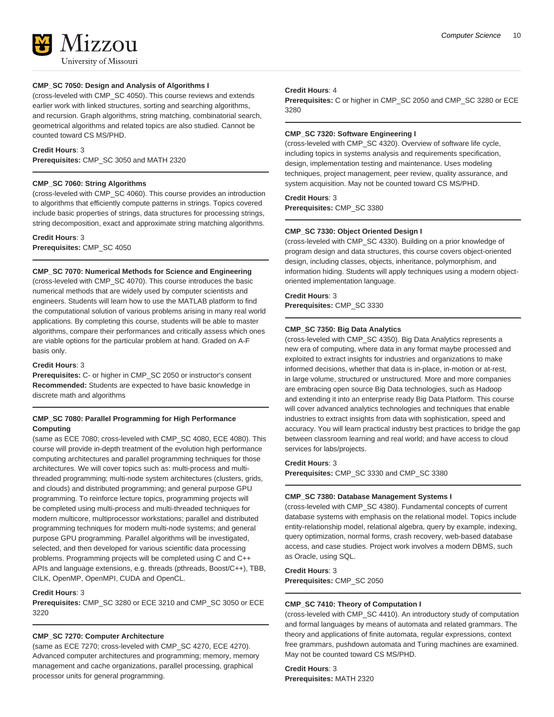#### **CMP\_SC 7050: Design and Analysis of Algorithms I**

(cross-leveled with CMP\_SC 4050). This course reviews and extends earlier work with linked structures, sorting and searching algorithms, and recursion. Graph algorithms, string matching, combinatorial search, geometrical algorithms and related topics are also studied. Cannot be counted toward CS MS/PHD.

#### **Credit Hours**: 3

**Prerequisites:** CMP\_SC 3050 and MATH 2320

#### **CMP\_SC 7060: String Algorithms**

(cross-leveled with CMP\_SC 4060). This course provides an introduction to algorithms that efficiently compute patterns in strings. Topics covered include basic properties of strings, data structures for processing strings, string decomposition, exact and approximate string matching algorithms.

#### **Credit Hours**: 3

**Prerequisites:** CMP\_SC 4050

#### **CMP\_SC 7070: Numerical Methods for Science and Engineering**

(cross-leveled with CMP\_SC 4070). This course introduces the basic numerical methods that are widely used by computer scientists and engineers. Students will learn how to use the MATLAB platform to find the computational solution of various problems arising in many real world applications. By completing this course, students will be able to master algorithms, compare their performances and critically assess which ones are viable options for the particular problem at hand. Graded on A-F basis only.

#### **Credit Hours**: 3

**Prerequisites:** C- or higher in CMP\_SC 2050 or instructor's consent **Recommended:** Students are expected to have basic knowledge in discrete math and algorithms

#### **CMP\_SC 7080: Parallel Programming for High Performance Computing**

(same as ECE 7080; cross-leveled with CMP\_SC 4080, ECE 4080). This course will provide in-depth treatment of the evolution high performance computing architectures and parallel programming techniques for those architectures. We will cover topics such as: multi-process and multithreaded programming; multi-node system architectures (clusters, grids, and clouds) and distributed programming; and general purpose GPU programming. To reinforce lecture topics, programming projects will be completed using multi-process and multi-threaded techniques for modern multicore, multiprocessor workstations; parallel and distributed programming techniques for modern multi-node systems; and general purpose GPU programming. Parallel algorithms will be investigated, selected, and then developed for various scientific data processing problems. Programming projects will be completed using C and C++ APIs and language extensions, e.g. threads (pthreads, Boost/C++), TBB, CILK, OpenMP, OpenMPI, CUDA and OpenCL.

#### **Credit Hours**: 3

**Prerequisites:** CMP\_SC 3280 or ECE 3210 and CMP\_SC 3050 or ECE 3220

#### **CMP\_SC 7270: Computer Architecture**

(same as ECE 7270; cross-leveled with CMP\_SC 4270, ECE 4270). Advanced computer architectures and programming; memory, memory management and cache organizations, parallel processing, graphical processor units for general programming.

#### **Credit Hours**: 4

**Prerequisites:** C or higher in CMP\_SC 2050 and CMP\_SC 3280 or ECE 3280

#### **CMP\_SC 7320: Software Engineering I**

(cross-leveled with CMP\_SC 4320). Overview of software life cycle, including topics in systems analysis and requirements specification, design, implementation testing and maintenance. Uses modeling techniques, project management, peer review, quality assurance, and system acquisition. May not be counted toward CS MS/PHD.

#### **Credit Hours**: 3

**Prerequisites:** CMP\_SC 3380

#### **CMP\_SC 7330: Object Oriented Design I**

(cross-leveled with CMP\_SC 4330). Building on a prior knowledge of program design and data structures, this course covers object-oriented design, including classes, objects, inheritance, polymorphism, and information hiding. Students will apply techniques using a modern objectoriented implementation language.

### **Credit Hours**: 3

**Prerequisites:** CMP\_SC 3330

#### **CMP\_SC 7350: Big Data Analytics**

(cross-leveled with CMP\_SC 4350). Big Data Analytics represents a new era of computing, where data in any format maybe processed and exploited to extract insights for industries and organizations to make informed decisions, whether that data is in-place, in-motion or at-rest, in large volume, structured or unstructured. More and more companies are embracing open source Big Data technologies, such as Hadoop and extending it into an enterprise ready Big Data Platform. This course will cover advanced analytics technologies and techniques that enable industries to extract insights from data with sophistication, speed and accuracy. You will learn practical industry best practices to bridge the gap between classroom learning and real world; and have access to cloud services for labs/projects.

#### **Credit Hours**: 3

**Prerequisites:** CMP\_SC 3330 and CMP\_SC 3380

#### **CMP\_SC 7380: Database Management Systems I**

(cross-leveled with CMP\_SC 4380). Fundamental concepts of current database systems with emphasis on the relational model. Topics include entity-relationship model, relational algebra, query by example, indexing, query optimization, normal forms, crash recovery, web-based database access, and case studies. Project work involves a modern DBMS, such as Oracle, using SQL.

**Credit Hours**: 3 **Prerequisites:** CMP\_SC 2050

#### **CMP\_SC 7410: Theory of Computation I**

(cross-leveled with CMP\_SC 4410). An introductory study of computation and formal languages by means of automata and related grammars. The theory and applications of finite automata, regular expressions, context free grammars, pushdown automata and Turing machines are examined. May not be counted toward CS MS/PHD.

**Credit Hours**: 3 **Prerequisites:** MATH 2320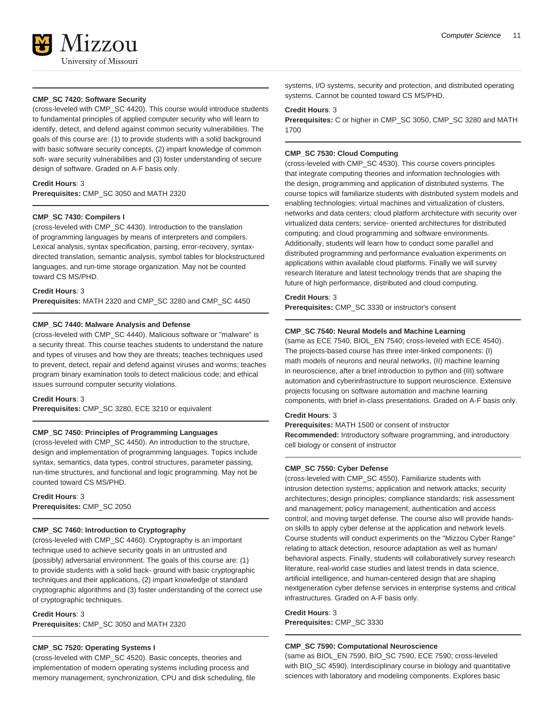

#### **CMP\_SC 7420: Software Security**

(cross-leveled with CMP\_SC 4420). This course would introduce students to fundamental principles of applied computer security who will learn to identify, detect, and defend against common security vulnerabilities. The goals of this course are: (1) to provide students with a solid background with basic software security concepts, (2) impart knowledge of common soft- ware security vulnerabilities and (3) foster understanding of secure design of software. Graded on A-F basis only.

#### **Credit Hours**: 3

**Prerequisites:** CMP\_SC 3050 and MATH 2320

#### **CMP\_SC 7430: Compilers I**

(cross-leveled with CMP\_SC 4430). Introduction to the translation of programming languages by means of interpreters and compilers. Lexical analysis, syntax specification, parsing, error-recovery, syntaxdirected translation, semantic analysis, symbol tables for blockstructured languages, and run-time storage organization. May not be counted toward CS MS/PHD.

#### **Credit Hours**: 3

**Prerequisites:** MATH 2320 and CMP\_SC 3280 and CMP\_SC 4450

#### **CMP\_SC 7440: Malware Analysis and Defense**

(cross-leveled with CMP\_SC 4440). Malicious software or "malware" is a security threat. This course teaches students to understand the nature and types of viruses and how they are threats; teaches techniques used to prevent, detect, repair and defend against viruses and worms; teaches program binary examination tools to detect malicious code; and ethical issues surround computer security violations.

#### **Credit Hours**: 3

**Prerequisites:** CMP\_SC 3280, ECE 3210 or equivalent

#### **CMP\_SC 7450: Principles of Programming Languages**

(cross-leveled with CMP\_SC 4450). An introduction to the structure, design and implementation of programming languages. Topics include syntax, semantics, data types, control structures, parameter passing, run-time structures, and functional and logic programming. May not be counted toward CS MS/PHD.

**Credit Hours**: 3 **Prerequisites:** CMP\_SC 2050

#### **CMP\_SC 7460: Introduction to Cryptography**

(cross-leveled with CMP\_SC 4460). Cryptography is an important technique used to achieve security goals in an untrusted and (possibly) adversarial environment. The goals of this course are: (1) to provide students with a solid back- ground with basic cryptographic techniques and their applications, (2) impart knowledge of standard cryptographic algorithms and (3) foster understanding of the correct use of cryptographic techniques.

#### **Credit Hours**: 3

**Prerequisites:** CMP\_SC 3050 and MATH 2320

#### **CMP\_SC 7520: Operating Systems I**

(cross-leveled with CMP\_SC 4520). Basic concepts, theories and implementation of modern operating systems including process and memory management, synchronization, CPU and disk scheduling, file systems, I/O systems, security and protection, and distributed operating systems. Cannot be counted toward CS MS/PHD.

#### **Credit Hours**: 3

**Prerequisites:** C or higher in CMP\_SC 3050, CMP\_SC 3280 and MATH 1700

#### **CMP\_SC 7530: Cloud Computing**

(cross-leveled with CMP\_SC 4530). This course covers principles that integrate computing theories and information technologies with the design, programming and application of distributed systems. The course topics will familiarize students with distributed system models and enabling technologies; virtual machines and virtualization of clusters, networks and data centers; cloud platform architecture with security over virtualized data centers; service- oriented architectures for distributed computing; and cloud programming and software environments. Additionally, students will learn how to conduct some parallel and distributed programming and performance evaluation experiments on applications within available cloud platforms. Finally we will survey research literature and latest technology trends that are shaping the future of high performance, distributed and cloud computing.

#### **Credit Hours**: 3

**Prerequisites:** CMP\_SC 3330 or instructor's consent

#### **CMP\_SC 7540: Neural Models and Machine Learning**

(same as ECE 7540, BIOL\_EN 7540; cross-leveled with ECE 4540). The projects-based course has three inter-linked components: (I) math models of neurons and neural networks, (II) machine learning in neuroscience, after a brief introduction to python and (III) software automation and cyberinfrastructure to support neuroscience. Extensive projects focusing on software automation and machine learning components, with brief in-class presentations. Graded on A-F basis only.

#### **Credit Hours**: 3

**Prerequisites:** MATH 1500 or consent of instructor **Recommended:** Introductory software programming, and introductory cell biology or consent of instructor

#### **CMP\_SC 7550: Cyber Defense**

(cross-leveled with CMP\_SC 4550). Familiarize students with intrusion detection systems; application and network attacks; security architectures; design principles; compliance standards; risk assessment and management; policy management; authentication and access control; and moving target defense. The course also will provide handson skills to apply cyber defense at the application and network levels. Course students will conduct experiments on the "Mizzou Cyber Range" relating to attack detection, resource adaptation as well as human/ behavioral aspects. Finally, students will collaboratively survey research literature, real-world case studies and latest trends in data science, artificial intelligence, and human-centered design that are shaping nextgeneration cyber defense services in enterprise systems and critical infrastructures. Graded on A-F basis only.

#### **Credit Hours**: 3

**Prerequisites:** CMP\_SC 3330

#### **CMP\_SC 7590: Computational Neuroscience**

(same as BIOL\_EN 7590, BIO\_SC 7590, ECE 7590; cross-leveled with BIO\_SC 4590). Interdisciplinary course in biology and quantitative sciences with laboratory and modeling components. Explores basic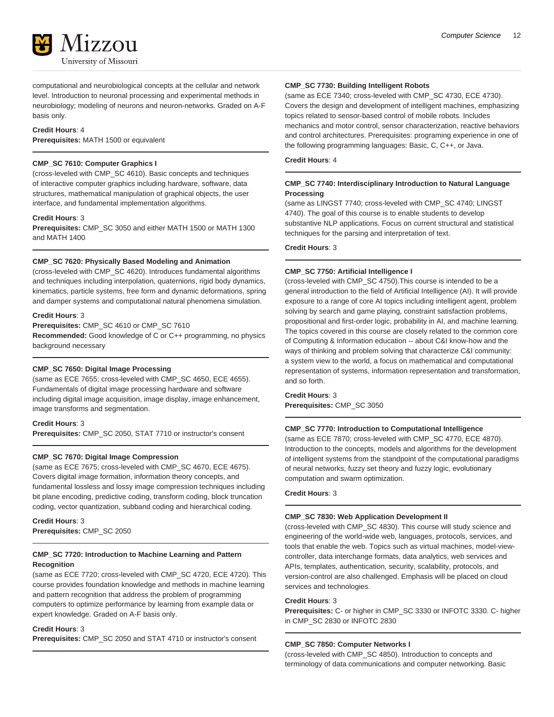computational and neurobiological concepts at the cellular and network level. Introduction to neuronal processing and experimental methods in neurobiology; modeling of neurons and neuron-networks. Graded on A-F basis only.

#### **Credit Hours**: 4

**Prerequisites:** MATH 1500 or equivalent

#### **CMP\_SC 7610: Computer Graphics I**

(cross-leveled with CMP\_SC 4610). Basic concepts and techniques of interactive computer graphics including hardware, software, data structures, mathematical manipulation of graphical objects, the user interface, and fundamental implementation algorithms.

#### **Credit Hours**: 3

**Prerequisites:** CMP\_SC 3050 and either MATH 1500 or MATH 1300 and MATH 1400

#### **CMP\_SC 7620: Physically Based Modeling and Animation**

(cross-leveled with CMP\_SC 4620). Introduces fundamental algorithms and techniques including interpolation, quaternions, rigid body dynamics, kinematics, particle systems, free form and dynamic deformations, spring and damper systems and computational natural phenomena simulation.

#### **Credit Hours**: 3

**Prerequisites:** CMP\_SC 4610 or CMP\_SC 7610

**Recommended:** Good knowledge of C or C++ programming, no physics background necessary

#### **CMP\_SC 7650: Digital Image Processing**

(same as ECE 7655; cross-leveled with CMP\_SC 4650, ECE 4655). Fundamentals of digital image processing hardware and software including digital image acquisition, image display, image enhancement, image transforms and segmentation.

#### **Credit Hours**: 3

**Prerequisites:** CMP\_SC 2050, STAT 7710 or instructor's consent

#### **CMP\_SC 7670: Digital Image Compression**

(same as ECE 7675; cross-leveled with CMP\_SC 4670, ECE 4675). Covers digital image formation, information theory concepts, and fundamental lossless and lossy image compression techniques including bit plane encoding, predictive coding, transform coding, block truncation coding, vector quantization, subband coding and hierarchical coding.

**Credit Hours**: 3 **Prerequisites:** CMP\_SC 2050

#### **CMP\_SC 7720: Introduction to Machine Learning and Pattern Recognition**

(same as ECE 7720; cross-leveled with CMP\_SC 4720, ECE 4720). This course provides foundation knowledge and methods in machine learning and pattern recognition that address the problem of programming computers to optimize performance by learning from example data or expert knowledge. Graded on A-F basis only.

#### **Credit Hours**: 3

**Prerequisites:** CMP\_SC 2050 and STAT 4710 or instructor's consent

#### **CMP\_SC 7730: Building Intelligent Robots**

(same as ECE 7340; cross-leveled with CMP\_SC 4730, ECE 4730). Covers the design and development of intelligent machines, emphasizing topics related to sensor-based control of mobile robots. Includes mechanics and motor control, sensor characterization, reactive behaviors and control architectures. Prerequisites: programing experience in one of the following programming languages: Basic, C, C++, or Java.

**Credit Hours**: 4

#### **CMP\_SC 7740: Interdisciplinary Introduction to Natural Language Processing**

(same as LINGST 7740; cross-leveled with CMP\_SC 4740; LINGST 4740). The goal of this course is to enable students to develop substantive NLP applications. Focus on current structural and statistical techniques for the parsing and interpretation of text.

#### **Credit Hours**: 3

#### **CMP\_SC 7750: Artificial Intelligence I**

(cross-leveled with CMP\_SC 4750).This course is intended to be a general introduction to the field of Artificial Intelligence (AI). It will provide exposure to a range of core AI topics including intelligent agent, problem solving by search and game playing, constraint satisfaction problems, propositional and first-order logic, probability in AI, and machine learning. The topics covered in this course are closely related to the common core of Computing & Information education -- about C&I know-how and the ways of thinking and problem solving that characterize C&I community: a system view to the world, a focus on mathematical and computational representation of systems, information representation and transformation, and so forth.

**Credit Hours**: 3 **Prerequisites:** CMP\_SC 3050

#### **CMP\_SC 7770: Introduction to Computational Intelligence**

(same as ECE 7870; cross-leveled with CMP\_SC 4770, ECE 4870). Introduction to the concepts, models and algorithms for the development of intelligent systems from the standpoint of the computational paradigms of neural networks, fuzzy set theory and fuzzy logic, evolutionary computation and swarm optimization.

#### **Credit Hours**: 3

#### **CMP\_SC 7830: Web Application Development II**

(cross-leveled with CMP\_SC 4830). This course will study science and engineering of the world-wide web, languages, protocols, services, and tools that enable the web. Topics such as virtual machines, model-viewcontroller, data interchange formats, data analytics, web services and APIs, templates, authentication, security, scalability, protocols, and version-control are also challenged. Emphasis will be placed on cloud services and technologies.

#### **Credit Hours**: 3

**Prerequisites:** C- or higher in CMP\_SC 3330 or INFOTC 3330. C- higher in CMP\_SC 2830 or INFOTC 2830

#### **CMP\_SC 7850: Computer Networks I**

(cross-leveled with CMP\_SC 4850). Introduction to concepts and terminology of data communications and computer networking. Basic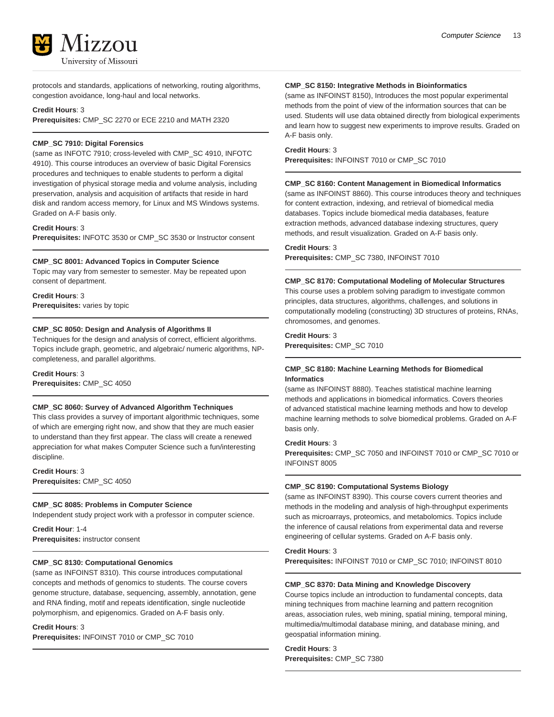

protocols and standards, applications of networking, routing algorithms, congestion avoidance, long-haul and local networks.

#### **Credit Hours**: 3

**Prerequisites:** CMP\_SC 2270 or ECE 2210 and MATH 2320

#### **CMP\_SC 7910: Digital Forensics**

(same as INFOTC 7910; cross-leveled with CMP\_SC 4910, INFOTC 4910). This course introduces an overview of basic Digital Forensics procedures and techniques to enable students to perform a digital investigation of physical storage media and volume analysis, including preservation, analysis and acquisition of artifacts that reside in hard disk and random access memory, for Linux and MS Windows systems. Graded on A-F basis only.

#### **Credit Hours**: 3

**Prerequisites:** INFOTC 3530 or CMP\_SC 3530 or Instructor consent

#### **CMP\_SC 8001: Advanced Topics in Computer Science**

Topic may vary from semester to semester. May be repeated upon consent of department.

#### **Credit Hours**: 3

**Prerequisites:** varies by topic

#### **CMP\_SC 8050: Design and Analysis of Algorithms II**

Techniques for the design and analysis of correct, efficient algorithms. Topics include graph, geometric, and algebraic/ numeric algorithms, NPcompleteness, and parallel algorithms.

#### **Credit Hours**: 3

**Prerequisites:** CMP\_SC 4050

#### **CMP\_SC 8060: Survey of Advanced Algorithm Techniques**

This class provides a survey of important algorithmic techniques, some of which are emerging right now, and show that they are much easier to understand than they first appear. The class will create a renewed appreciation for what makes Computer Science such a fun/interesting discipline.

**Credit Hours**: 3 **Prerequisites:** CMP\_SC 4050

#### **CMP\_SC 8085: Problems in Computer Science**

Independent study project work with a professor in computer science.

**Credit Hour**: 1-4 **Prerequisites:** instructor consent

#### **CMP\_SC 8130: Computational Genomics**

(same as INFOINST 8310). This course introduces computational concepts and methods of genomics to students. The course covers genome structure, database, sequencing, assembly, annotation, gene and RNA finding, motif and repeats identification, single nucleotide polymorphism, and epigenomics. Graded on A-F basis only.

#### **Credit Hours**: 3

**Prerequisites:** INFOINST 7010 or CMP\_SC 7010

#### **CMP\_SC 8150: Integrative Methods in Bioinformatics**

(same as INFOINST 8150), Introduces the most popular experimental methods from the point of view of the information sources that can be used. Students will use data obtained directly from biological experiments and learn how to suggest new experiments to improve results. Graded on A-F basis only.

#### **Credit Hours**: 3

**Prerequisites:** INFOINST 7010 or CMP\_SC 7010

#### **CMP\_SC 8160: Content Management in Biomedical Informatics**

(same as INFOINST 8860). This course introduces theory and techniques for content extraction, indexing, and retrieval of biomedical media databases. Topics include biomedical media databases, feature extraction methods, advanced database indexing structures, query methods, and result visualization. Graded on A-F basis only.

#### **Credit Hours**: 3

**Prerequisites:** CMP\_SC 7380, INFOINST 7010

#### **CMP\_SC 8170: Computational Modeling of Molecular Structures**

This course uses a problem solving paradigm to investigate common principles, data structures, algorithms, challenges, and solutions in computationally modeling (constructing) 3D structures of proteins, RNAs, chromosomes, and genomes.

#### **Credit Hours**: 3 **Prerequisites:** CMP\_SC 7010

#### **CMP\_SC 8180: Machine Learning Methods for Biomedical Informatics**

(same as INFOINST 8880). Teaches statistical machine learning methods and applications in biomedical informatics. Covers theories of advanced statistical machine learning methods and how to develop machine learning methods to solve biomedical problems. Graded on A-F basis only.

#### **Credit Hours**: 3

**Prerequisites:** CMP\_SC 7050 and INFOINST 7010 or CMP\_SC 7010 or INFOINST 8005

#### **CMP\_SC 8190: Computational Systems Biology**

(same as INFOINST 8390). This course covers current theories and methods in the modeling and analysis of high-throughput experiments such as microarrays, proteomics, and metabolomics. Topics include the inference of causal relations from experimental data and reverse engineering of cellular systems. Graded on A-F basis only.

**Credit Hours**: 3

**Prerequisites:** INFOINST 7010 or CMP\_SC 7010; INFOINST 8010

#### **CMP\_SC 8370: Data Mining and Knowledge Discovery**

Course topics include an introduction to fundamental concepts, data mining techniques from machine learning and pattern recognition areas, association rules, web mining, spatial mining, temporal mining, multimedia/multimodal database mining, and database mining, and geospatial information mining.

**Credit Hours**: 3 **Prerequisites:** CMP\_SC 7380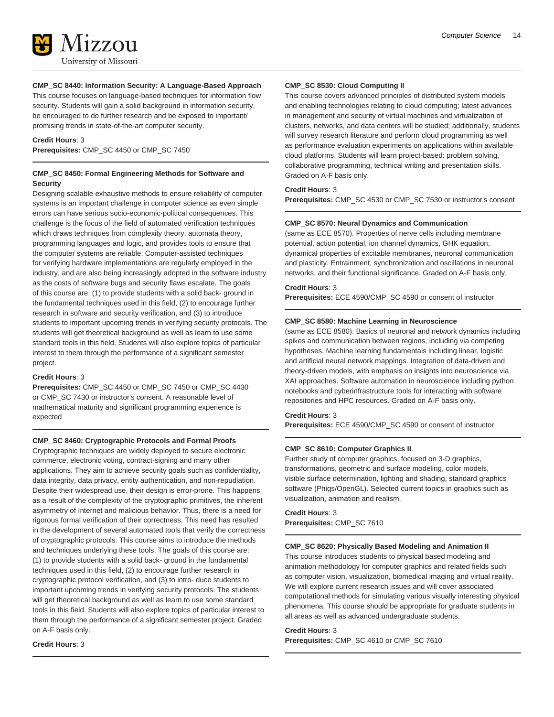

#### **CMP\_SC 8440: Information Security: A Language-Based Approach**

This course focuses on language-based techniques for information flow security. Students will gain a solid background in information security, be encouraged to do further research and be exposed to important/ promising trends in state-of-the-art computer security.

#### **Credit Hours**: 3

**Prerequisites:** CMP\_SC 4450 or CMP\_SC 7450

#### **CMP\_SC 8450: Formal Engineering Methods for Software and Security**

Designing scalable exhaustive methods to ensure reliability of computer systems is an important challenge in computer science as even simple errors can have serious socio-economic-political consequences. This challenge is the focus of the field of automated verification techniques which draws techniques from complexity theory, automata theory, programming languages and logic, and provides tools to ensure that the computer systems are reliable. Computer-assisted techniques for verifying hardware implementations are regularly employed in the industry, and are also being increasingly adopted in the software industry as the costs of software bugs and security flaws escalate. The goals of this course are: (1) to provide students with a solid back- ground in the fundamental techniques used in this field, (2) to encourage further research in software and security verification, and (3) to introduce students to important upcoming trends in verifying security protocols. The students will get theoretical background as well as learn to use some standard tools in this field. Students will also explore topics of particular interest to them through the performance of a significant semester project.

#### **Credit Hours**: 3

**Prerequisites:** CMP\_SC 4450 or CMP\_SC 7450 or CMP\_SC 4430 or CMP\_SC 7430 or instructor's consent. A reasonable level of mathematical maturity and significant programming experience is expected

#### **CMP\_SC 8460: Cryptographic Protocols and Formal Proofs**

Cryptographic techniques are widely deployed to secure electronic commerce, electronic voting, contract-signing and many other applications. They aim to achieve security goals such as confidentiality, data integrity, data privacy, entity authentication, and non-repudiation. Despite their widespread use, their design is error-prone. This happens as a result of the complexity of the cryptographic primitives, the inherent asymmetry of Internet and malicious behavior. Thus, there is a need for rigorous formal verification of their correctness. This need has resulted in the development of several automated tools that verify the correctness of cryptographic protocols. This course aims to introduce the methods and techniques underlying these tools. The goals of this course are: (1) to provide students with a solid back- ground in the fundamental techniques used in this field, (2) to encourage further research in cryptographic protocol verification, and (3) to intro- duce students to important upcoming trends in verifying security protocols. The students will get theoretical background as well as learn to use some standard tools in this field. Students will also explore topics of particular interest to them through the performance of a significant semester project. Graded on A-F basis only.

#### **Credit Hours**: 3

#### **CMP\_SC 8530: Cloud Computing II**

This course covers advanced principles of distributed system models and enabling technologies relating to cloud computing; latest advances in management and security of virtual machines and virtualization of clusters, networks, and data centers will be studied; additionally, students will survey research literature and perform cloud programming as well as performance evaluation experiments on applications within available cloud platforms. Students will learn project-based: problem solving, collaborative programming, technical writing and presentation skills. Graded on A-F basis only.

#### **Credit Hours**: 3

**Prerequisites:** CMP\_SC 4530 or CMP\_SC 7530 or instructor's consent

#### **CMP\_SC 8570: Neural Dynamics and Communication**

(same as ECE 8570). Properties of nerve cells including membrane potential, action potential, ion channel dynamics, GHK equation, dynamical properties of excitable membranes, neuronal communication and plasticity. Entrainment, synchronization and oscillations in neuronal networks, and their functional significance. Graded on A-F basis only.

#### **Credit Hours**: 3

**Prerequisites:** ECE 4590/CMP\_SC 4590 or consent of instructor

#### **CMP\_SC 8580: Machine Learning in Neuroscience**

(same as ECE 8580). Basics of neuronal and network dynamics including spikes and communication between regions, including via competing hypotheses. Machine learning fundamentals including linear, logistic and artificial neural network mappings. Integration of data-driven and theory-driven models, with emphasis on insights into neuroscience via XAI approaches. Software automation in neuroscience including python notebooks and cyberinfrastructure tools for interacting with software repositories and HPC resources. Graded on A-F basis only.

#### **Credit Hours**: 3

**Prerequisites:** ECE 4590/CMP\_SC 4590 or consent of instructor

#### **CMP\_SC 8610: Computer Graphics II**

Further study of computer graphics, focused on 3-D graphics, transformations, geometric and surface modeling, color models, visible surface determination, lighting and shading, standard graphics software (Phigs/OpenGL). Selected current topics in graphics such as visualization, animation and realism.

#### **Credit Hours**: 3 **Prerequisites:** CMP\_SC 7610

#### **CMP\_SC 8620: Physically Based Modeling and Animation II**

This course introduces students to physical based modeling and animation methodology for computer graphics and related fields such as computer vision, visualization, biomedical imaging and virtual reality. We will explore current research issues and will cover associated computational methods for simulating various visually interesting physical phenomena. This course should be appropriate for graduate students in all areas as well as advanced undergraduate students.

#### **Credit Hours**: 3

**Prerequisites:** CMP\_SC 4610 or CMP\_SC 7610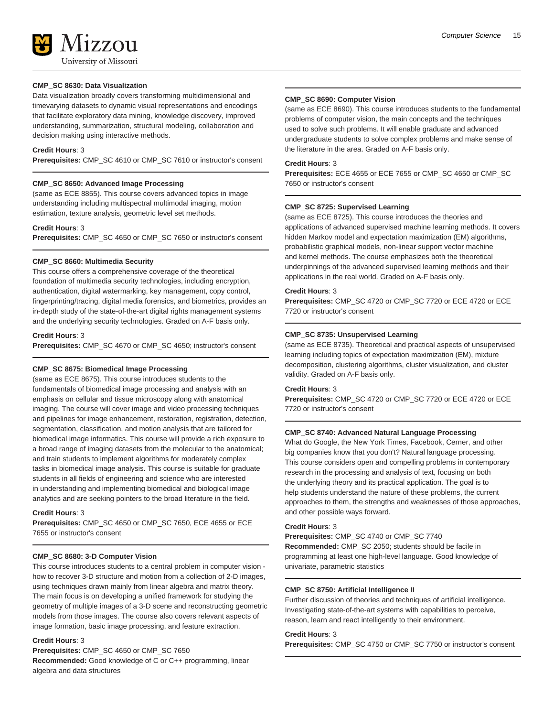

**CMP\_SC 8630: Data Visualization** Data visualization broadly covers transforming multidimensional and timevarying datasets to dynamic visual representations and encodings that facilitate exploratory data mining, knowledge discovery, improved understanding, summarization, structural modeling, collaboration and decision making using interactive methods.

#### **Credit Hours**: 3

**Prerequisites:** CMP\_SC 4610 or CMP\_SC 7610 or instructor's consent

#### **CMP\_SC 8650: Advanced Image Processing**

(same as ECE 8855). This course covers advanced topics in image understanding including multispectral multimodal imaging, motion estimation, texture analysis, geometric level set methods.

#### **Credit Hours**: 3

**Prerequisites:** CMP\_SC 4650 or CMP\_SC 7650 or instructor's consent

#### **CMP\_SC 8660: Multimedia Security**

This course offers a comprehensive coverage of the theoretical foundation of multimedia security technologies, including encryption, authentication, digital watermarking, key management, copy control, fingerprinting/tracing, digital media forensics, and biometrics, provides an in-depth study of the state-of-the-art digital rights management systems and the underlying security technologies. Graded on A-F basis only.

#### **Credit Hours**: 3

**Prerequisites:** CMP\_SC 4670 or CMP\_SC 4650; instructor's consent

#### **CMP\_SC 8675: Biomedical Image Processing**

(same as ECE 8675). This course introduces students to the fundamentals of biomedical image processing and analysis with an emphasis on cellular and tissue microscopy along with anatomical imaging. The course will cover image and video processing techniques and pipelines for image enhancement, restoration, registration, detection, segmentation, classification, and motion analysis that are tailored for biomedical image informatics. This course will provide a rich exposure to a broad range of imaging datasets from the molecular to the anatomical; and train students to implement algorithms for moderately complex tasks in biomedical image analysis. This course is suitable for graduate students in all fields of engineering and science who are interested in understanding and implementing biomedical and biological image analytics and are seeking pointers to the broad literature in the field.

#### **Credit Hours**: 3

**Prerequisites:** CMP\_SC 4650 or CMP\_SC 7650, ECE 4655 or ECE 7655 or instructor's consent

#### **CMP\_SC 8680: 3-D Computer Vision**

This course introduces students to a central problem in computer vision how to recover 3-D structure and motion from a collection of 2-D images, using techniques drawn mainly from linear algebra and matrix theory. The main focus is on developing a unified framework for studying the geometry of multiple images of a 3-D scene and reconstructing geometric models from those images. The course also covers relevant aspects of image formation, basic image processing, and feature extraction.

#### **Credit Hours**: 3

**Prerequisites:** CMP\_SC 4650 or CMP\_SC 7650 **Recommended:** Good knowledge of C or C++ programming, linear algebra and data structures

#### **CMP\_SC 8690: Computer Vision**

(same as ECE 8690). This course introduces students to the fundamental problems of computer vision, the main concepts and the techniques used to solve such problems. It will enable graduate and advanced undergraduate students to solve complex problems and make sense of the literature in the area. Graded on A-F basis only.

#### **Credit Hours**: 3

**Prerequisites:** ECE 4655 or ECE 7655 or CMP\_SC 4650 or CMP\_SC 7650 or instructor's consent

#### **CMP\_SC 8725: Supervised Learning**

(same as ECE 8725). This course introduces the theories and applications of advanced supervised machine learning methods. It covers hidden Markov model and expectation maximization (EM) algorithms, probabilistic graphical models, non-linear support vector machine and kernel methods. The course emphasizes both the theoretical underpinnings of the advanced supervised learning methods and their applications in the real world. Graded on A-F basis only.

#### **Credit Hours**: 3

**Prerequisites:** CMP\_SC 4720 or CMP\_SC 7720 or ECE 4720 or ECE 7720 or instructor's consent

#### **CMP\_SC 8735: Unsupervised Learning**

(same as ECE 8735). Theoretical and practical aspects of unsupervised learning including topics of expectation maximization (EM), mixture decomposition, clustering algorithms, cluster visualization, and cluster validity. Graded on A-F basis only.

#### **Credit Hours**: 3

**Prerequisites:** CMP\_SC 4720 or CMP\_SC 7720 or ECE 4720 or ECE 7720 or instructor's consent

#### **CMP\_SC 8740: Advanced Natural Language Processing**

What do Google, the New York Times, Facebook, Cerner, and other big companies know that you don't? Natural language processing. This course considers open and compelling problems in contemporary research in the processing and analysis of text, focusing on both the underlying theory and its practical application. The goal is to help students understand the nature of these problems, the current approaches to them, the strengths and weaknesses of those approaches, and other possible ways forward.

#### **Credit Hours**: 3

**Prerequisites:** CMP\_SC 4740 or CMP\_SC 7740 **Recommended:** CMP\_SC 2050; students should be facile in programming at least one high-level language. Good knowledge of univariate, parametric statistics

#### **CMP\_SC 8750: Artificial Intelligence II**

Further discussion of theories and techniques of artificial intelligence. Investigating state-of-the-art systems with capabilities to perceive, reason, learn and react intelligently to their environment.

#### **Credit Hours**: 3

**Prerequisites:** CMP\_SC 4750 or CMP\_SC 7750 or instructor's consent